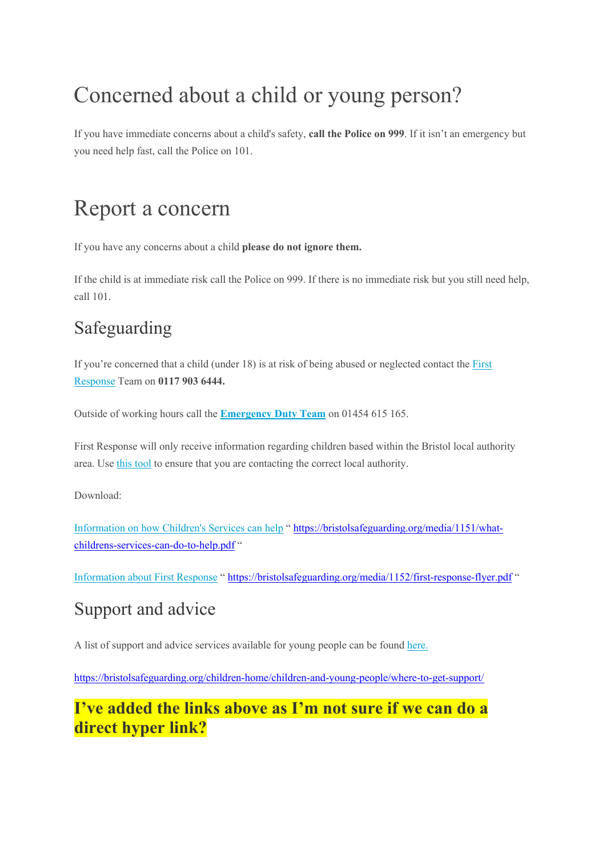# Concerned about a child or young person?

If you have immediate concerns about a child's safety, **call the Police on 999**. If it isn't an emergency but you need help fast, call the Police on 101.

## Report a concern

If you have any concerns about a child **please do not ignore them.**

If the child is at immediate risk call the Police on 999. If there is no immediate risk but you still need help, call 101.

## Safeguarding

If you're concerned that a child (under 18) is at risk of being abused or neglected contact the First Response Team on **0117 903 6444.** 

Outside of working hours call the **Emergency Duty Team** on 01454 615 165.

First Response will only receive information regarding children based within the Bristol local authority area. Use this tool to ensure that you are contacting the correct local authority.

Download:

Information on how Children's Services can help " https://bristolsafeguarding.org/media/1151/whatchildrens-services-can-do-to-help.pdf "

Information about First Response " https://bristolsafeguarding.org/media/1152/first-response-flyer.pdf "

## Support and advice

A list of support and advice services available for young people can be found here.

https://bristolsafeguarding.org/children-home/children-and-young-people/where-to-get-support/

#### **I've added the links above as I'm not sure if we can do a direct hyper link?**